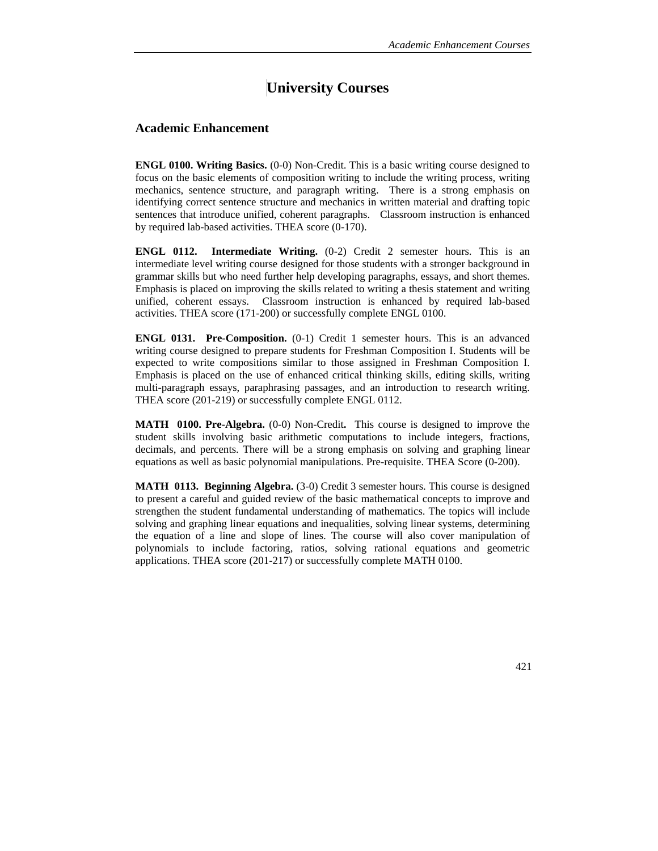## **University Courses**

## **Academic Enhancement**

**ENGL 0100. Writing Basics.** (0-0) Non-Credit. This is a basic writing course designed to focus on the basic elements of composition writing to include the writing process, writing mechanics, sentence structure, and paragraph writing. There is a strong emphasis on identifying correct sentence structure and mechanics in written material and drafting topic sentences that introduce unified, coherent paragraphs. Classroom instruction is enhanced by required lab-based activities. THEA score (0-170).

**ENGL 0112.** Intermediate Writing. (0-2) Credit 2 semester hours. This is an intermediate level writing course designed for those students with a stronger background in grammar skills but who need further help developing paragraphs, essays, and short themes. Emphasis is placed on improving the skills related to writing a thesis statement and writing unified, coherent essays. Classroom instruction is enhanced by required lab-based activities. THEA score (171-200) or successfully complete ENGL 0100.

**ENGL 0131. Pre-Composition.** (0-1) Credit 1 semester hours. This is an advanced writing course designed to prepare students for Freshman Composition I. Students will be expected to write compositions similar to those assigned in Freshman Composition I. Emphasis is placed on the use of enhanced critical thinking skills, editing skills, writing multi-paragraph essays, paraphrasing passages, and an introduction to research writing. THEA score (201-219) or successfully complete ENGL 0112.

**MATH 0100. Pre-Algebra.** (0-0) Non-Credit**.** This course is designed to improve the student skills involving basic arithmetic computations to include integers, fractions, decimals, and percents. There will be a strong emphasis on solving and graphing linear equations as well as basic polynomial manipulations. Pre-requisite. THEA Score (0-200).

**MATH 0113. Beginning Algebra.** (3-0) Credit 3 semester hours. This course is designed to present a careful and guided review of the basic mathematical concepts to improve and strengthen the student fundamental understanding of mathematics. The topics will include solving and graphing linear equations and inequalities, solving linear systems, determining the equation of a line and slope of lines. The course will also cover manipulation of polynomials to include factoring, ratios, solving rational equations and geometric applications. THEA score (201-217) or successfully complete MATH 0100.